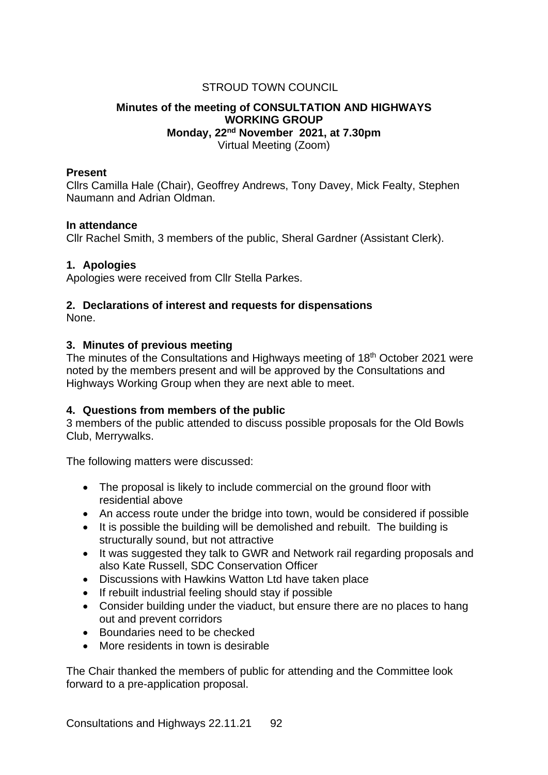# STROUD TOWN COUNCIL

## **Minutes of the meeting of CONSULTATION AND HIGHWAYS WORKING GROUP Monday, 22nd November 2021, at 7.30pm** Virtual Meeting (Zoom)

### **Present**

Cllrs Camilla Hale (Chair), Geoffrey Andrews, Tony Davey, Mick Fealty, Stephen Naumann and Adrian Oldman.

#### **In attendance**

Cllr Rachel Smith, 3 members of the public, Sheral Gardner (Assistant Clerk).

## **1. Apologies**

Apologies were received from Cllr Stella Parkes.

# **2. Declarations of interest and requests for dispensations**

None.

#### **3. Minutes of previous meeting**

The minutes of the Consultations and Highways meeting of 18th October 2021 were noted by the members present and will be approved by the Consultations and Highways Working Group when they are next able to meet.

## **4. Questions from members of the public**

3 members of the public attended to discuss possible proposals for the Old Bowls Club, Merrywalks.

The following matters were discussed:

- The proposal is likely to include commercial on the ground floor with residential above
- An access route under the bridge into town, would be considered if possible
- It is possible the building will be demolished and rebuilt. The building is structurally sound, but not attractive
- It was suggested they talk to GWR and Network rail regarding proposals and also Kate Russell, SDC Conservation Officer
- Discussions with Hawkins Watton Ltd have taken place
- If rebuilt industrial feeling should stay if possible
- Consider building under the viaduct, but ensure there are no places to hang out and prevent corridors
- Boundaries need to be checked
- More residents in town is desirable

The Chair thanked the members of public for attending and the Committee look forward to a pre-application proposal.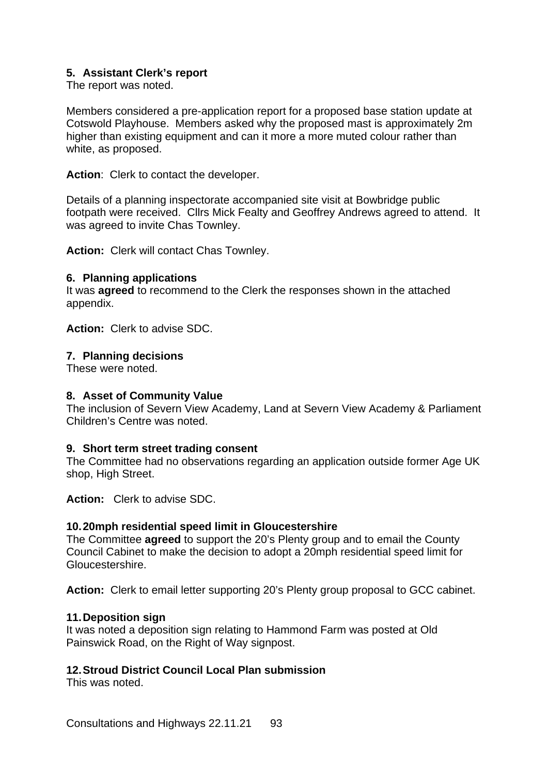# **5. Assistant Clerk's report**

The report was noted.

Members considered a pre-application report for a proposed base station update at Cotswold Playhouse. Members asked why the proposed mast is approximately 2m higher than existing equipment and can it more a more muted colour rather than white, as proposed.

**Action**: Clerk to contact the developer.

Details of a planning inspectorate accompanied site visit at Bowbridge public footpath were received. Cllrs Mick Fealty and Geoffrey Andrews agreed to attend. It was agreed to invite Chas Townley.

**Action:** Clerk will contact Chas Townley.

#### **6. Planning applications**

It was **agreed** to recommend to the Clerk the responses shown in the attached appendix.

**Action:** Clerk to advise SDC.

#### **7. Planning decisions**

These were noted.

#### **8. Asset of Community Value**

The inclusion of Severn View Academy, Land at Severn View Academy & Parliament Children's Centre was noted.

#### **9. Short term street trading consent**

The Committee had no observations regarding an application outside former Age UK shop, High Street.

**Action:** Clerk to advise SDC.

#### **10.20mph residential speed limit in Gloucestershire**

The Committee **agreed** to support the 20's Plenty group and to email the County Council Cabinet to make the decision to adopt a 20mph residential speed limit for Gloucestershire.

**Action:** Clerk to email letter supporting 20's Plenty group proposal to GCC cabinet.

#### **11.Deposition sign**

It was noted a deposition sign relating to Hammond Farm was posted at Old Painswick Road, on the Right of Way signpost.

# **12.Stroud District Council Local Plan submission**

This was noted.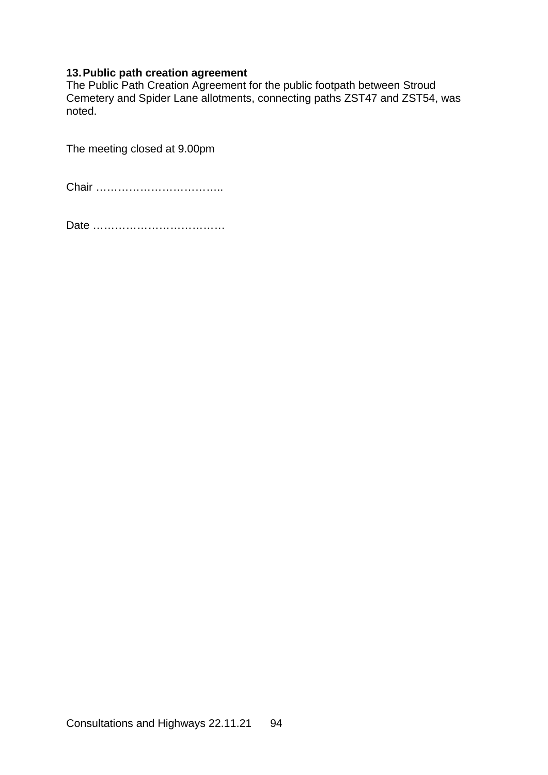# **13.Public path creation agreement**

The Public Path Creation Agreement for the public footpath between Stroud Cemetery and Spider Lane allotments, connecting paths ZST47 and ZST54, was noted.

The meeting closed at 9.00pm

Chair ……………………………..

Date ………………………………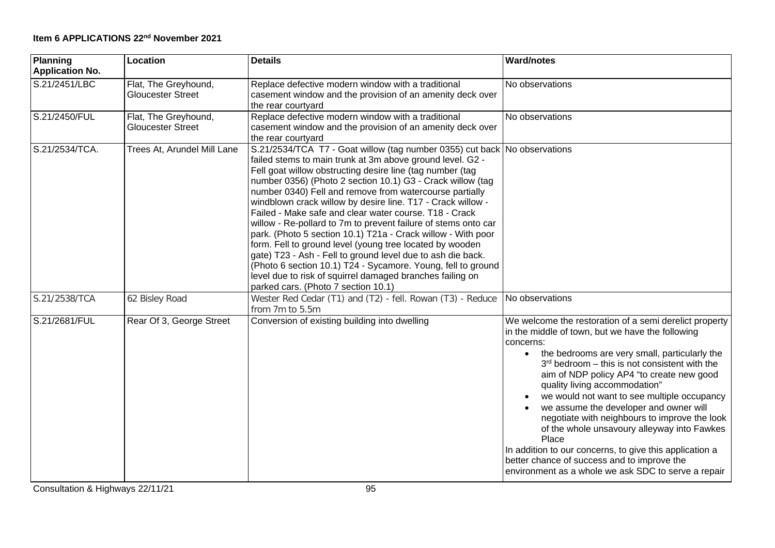| Planning<br><b>Application No.</b> | Location                                         | <b>Details</b>                                                                                                                                                                                                                                                                                                                                                                                                                                                                                                                                                                                                                                                                                                                                                                                                                                                                         | <b>Ward/notes</b>                                                                                                                                                                                                                                                                                                                                                                                                                                                                                                                                                                                                                                                                         |
|------------------------------------|--------------------------------------------------|----------------------------------------------------------------------------------------------------------------------------------------------------------------------------------------------------------------------------------------------------------------------------------------------------------------------------------------------------------------------------------------------------------------------------------------------------------------------------------------------------------------------------------------------------------------------------------------------------------------------------------------------------------------------------------------------------------------------------------------------------------------------------------------------------------------------------------------------------------------------------------------|-------------------------------------------------------------------------------------------------------------------------------------------------------------------------------------------------------------------------------------------------------------------------------------------------------------------------------------------------------------------------------------------------------------------------------------------------------------------------------------------------------------------------------------------------------------------------------------------------------------------------------------------------------------------------------------------|
| S.21/2451/LBC                      | Flat, The Greyhound,<br><b>Gloucester Street</b> | Replace defective modern window with a traditional<br>casement window and the provision of an amenity deck over<br>the rear courtyard                                                                                                                                                                                                                                                                                                                                                                                                                                                                                                                                                                                                                                                                                                                                                  | No observations                                                                                                                                                                                                                                                                                                                                                                                                                                                                                                                                                                                                                                                                           |
| S.21/2450/FUL                      | Flat, The Greyhound,<br><b>Gloucester Street</b> | Replace defective modern window with a traditional<br>casement window and the provision of an amenity deck over<br>the rear courtyard                                                                                                                                                                                                                                                                                                                                                                                                                                                                                                                                                                                                                                                                                                                                                  | No observations                                                                                                                                                                                                                                                                                                                                                                                                                                                                                                                                                                                                                                                                           |
| S.21/2534/TCA.                     | Trees At, Arundel Mill Lane                      | S.21/2534/TCA T7 - Goat willow (tag number 0355) cut back No observations<br>failed stems to main trunk at 3m above ground level. G2 -<br>Fell goat willow obstructing desire line (tag number (tag<br>number 0356) (Photo 2 section 10.1) G3 - Crack willow (tag<br>number 0340) Fell and remove from watercourse partially<br>windblown crack willow by desire line. T17 - Crack willow -<br>Failed - Make safe and clear water course. T18 - Crack<br>willow - Re-pollard to 7m to prevent failure of stems onto car<br>park. (Photo 5 section 10.1) T21a - Crack willow - With poor<br>form. Fell to ground level (young tree located by wooden<br>gate) T23 - Ash - Fell to ground level due to ash die back.<br>(Photo 6 section 10.1) T24 - Sycamore. Young, fell to ground<br>level due to risk of squirrel damaged branches failing on<br>parked cars. (Photo 7 section 10.1) |                                                                                                                                                                                                                                                                                                                                                                                                                                                                                                                                                                                                                                                                                           |
| S.21/2538/TCA                      | 62 Bisley Road                                   | Wester Red Cedar (T1) and (T2) - fell. Rowan (T3) - Reduce<br>from 7m to 5.5m                                                                                                                                                                                                                                                                                                                                                                                                                                                                                                                                                                                                                                                                                                                                                                                                          | No observations                                                                                                                                                                                                                                                                                                                                                                                                                                                                                                                                                                                                                                                                           |
| S.21/2681/FUL                      | Rear Of 3, George Street                         | Conversion of existing building into dwelling                                                                                                                                                                                                                                                                                                                                                                                                                                                                                                                                                                                                                                                                                                                                                                                                                                          | We welcome the restoration of a semi derelict property<br>in the middle of town, but we have the following<br>concerns:<br>the bedrooms are very small, particularly the<br>$\bullet$<br>$3rd$ bedroom – this is not consistent with the<br>aim of NDP policy AP4 "to create new good<br>quality living accommodation"<br>we would not want to see multiple occupancy<br>we assume the developer and owner will<br>negotiate with neighbours to improve the look<br>of the whole unsavoury alleyway into Fawkes<br>Place<br>In addition to our concerns, to give this application a<br>better chance of success and to improve the<br>environment as a whole we ask SDC to serve a repair |